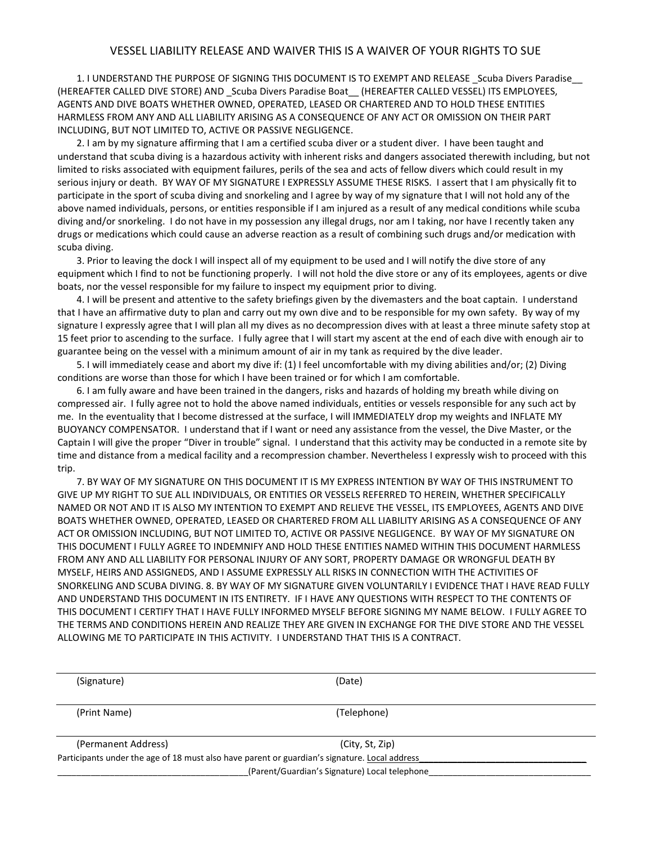## VESSEL LIABILITY RELEASE AND WAIVER THIS IS A WAIVER OF YOUR RIGHTS TO SUE

1. I UNDERSTAND THE PURPOSE OF SIGNING THIS DOCUMENT IS TO EXEMPT AND RELEASE \_Scuba Divers Paradise\_\_ (HEREAFTER CALLED DIVE STORE) AND Scuba Divers Paradise Boat (HEREAFTER CALLED VESSEL) ITS EMPLOYEES, AGENTS AND DIVE BOATS WHETHER OWNED, OPERATED, LEASED OR CHARTERED AND TO HOLD THESE ENTITIES HARMLESS FROM ANY AND ALL LIABILITY ARISING AS A CONSEQUENCE OF ANY ACT OR OMISSION ON THEIR PART INCLUDING, BUT NOT LIMITED TO, ACTIVE OR PASSIVE NEGLIGENCE.

2. I am by my signature affirming that I am a certified scuba diver or a student diver. I have been taught and understand that scuba diving is a hazardous activity with inherent risks and dangers associated therewith including, but not limited to risks associated with equipment failures, perils of the sea and acts of fellow divers which could result in my serious injury or death. BY WAY OF MY SIGNATURE I EXPRESSLY ASSUME THESE RISKS. I assert that I am physically fit to participate in the sport of scuba diving and snorkeling and I agree by way of my signature that I will not hold any of the above named individuals, persons, or entities responsible if I am injured as a result of any medical conditions while scuba diving and/or snorkeling. I do not have in my possession any illegal drugs, nor am I taking, nor have I recently taken any drugs or medications which could cause an adverse reaction as a result of combining such drugs and/or medication with scuba diving.

3. Prior to leaving the dock I will inspect all of my equipment to be used and I will notify the dive store of any equipment which I find to not be functioning properly. I will not hold the dive store or any of its employees, agents or dive boats, nor the vessel responsible for my failure to inspect my equipment prior to diving.

4. I will be present and attentive to the safety briefings given by the divemasters and the boat captain. I understand that I have an affirmative duty to plan and carry out my own dive and to be responsible for my own safety. By way of my signature I expressly agree that I will plan all my dives as no decompression dives with at least a three minute safety stop at 15 feet prior to ascending to the surface. I fully agree that I will start my ascent at the end of each dive with enough air to guarantee being on the vessel with a minimum amount of air in my tank as required by the dive leader.

5. I will immediately cease and abort my dive if: (1) I feel uncomfortable with my diving abilities and/or; (2) Diving conditions are worse than those for which I have been trained or for which I am comfortable.

6. I am fully aware and have been trained in the dangers, risks and hazards of holding my breath while diving on compressed air. I fully agree not to hold the above named individuals, entities or vessels responsible for any such act by me. In the eventuality that I become distressed at the surface, I will IMMEDIATELY drop my weights and INFLATE MY BUOYANCY COMPENSATOR. I understand that if I want or need any assistance from the vessel, the Dive Master, or the Captain I will give the proper "Diver in trouble" signal. I understand that this activity may be conducted in a remote site by time and distance from a medical facility and a recompression chamber. Nevertheless I expressly wish to proceed with this trip.

7. BY WAY OF MY SIGNATURE ON THIS DOCUMENT IT IS MY EXPRESS INTENTION BY WAY OF THIS INSTRUMENT TO GIVE UP MY RIGHT TO SUE ALL INDIVIDUALS, OR ENTITIES OR VESSELS REFERRED TO HEREIN, WHETHER SPECIFICALLY NAMED OR NOT AND IT IS ALSO MY INTENTION TO EXEMPT AND RELIEVE THE VESSEL, ITS EMPLOYEES, AGENTS AND DIVE BOATS WHETHER OWNED, OPERATED, LEASED OR CHARTERED FROM ALL LIABILITY ARISING AS A CONSEQUENCE OF ANY ACT OR OMISSION INCLUDING, BUT NOT LIMITED TO, ACTIVE OR PASSIVE NEGLIGENCE. BY WAY OF MY SIGNATURE ON THIS DOCUMENT I FULLY AGREE TO INDEMNIFY AND HOLD THESE ENTITIES NAMED WITHIN THIS DOCUMENT HARMLESS FROM ANY AND ALL LIABILITY FOR PERSONAL INJURY OF ANY SORT, PROPERTY DAMAGE OR WRONGFUL DEATH BY MYSELF, HEIRS AND ASSIGNEDS, AND I ASSUME EXPRESSLY ALL RISKS IN CONNECTION WITH THE ACTIVITIES OF SNORKELING AND SCUBA DIVING. 8. BY WAY OF MY SIGNATURE GIVEN VOLUNTARILY I EVIDENCE THAT I HAVE READ FULLY AND UNDERSTAND THIS DOCUMENT IN ITS ENTIRETY. IF I HAVE ANY QUESTIONS WITH RESPECT TO THE CONTENTS OF THIS DOCUMENT I CERTIFY THAT I HAVE FULLY INFORMED MYSELF BEFORE SIGNING MY NAME BELOW. I FULLY AGREE TO THE TERMS AND CONDITIONS HEREIN AND REALIZE THEY ARE GIVEN IN EXCHANGE FOR THE DIVE STORE AND THE VESSEL ALLOWING ME TO PARTICIPATE IN THIS ACTIVITY. I UNDERSTAND THAT THIS IS A CONTRACT.

| (Signature)                                                                                   | (Date)                                        |  |
|-----------------------------------------------------------------------------------------------|-----------------------------------------------|--|
| (Print Name)                                                                                  | (Telephone)                                   |  |
| (Permanent Address)                                                                           | (City, St, Zip)                               |  |
| Participants under the age of 18 must also have parent or guardian's signature. Local address |                                               |  |
|                                                                                               | (Parent/Guardian's Signature) Local telephone |  |